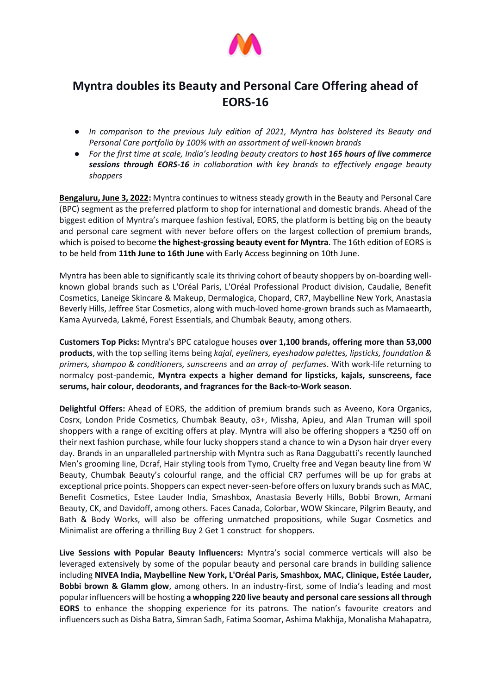

## **Myntra doubles its Beauty and Personal Care Offering ahead of EORS-16**

- *In comparison to the previous July edition of 2021, Myntra has bolstered its Beauty and Personal Care portfolio by 100% with an assortment of well-known brands*
- *For the first time at scale, India's leading beauty creators to host 165 hours of live commerce sessions through EORS-16 in collaboration with key brands to effectively engage beauty shoppers*

**Bengaluru, June 3, 2022:** Myntra continues to witness steady growth in the Beauty and Personal Care (BPC) segment as the preferred platform to shop for international and domestic brands. Ahead of the biggest edition of Myntra's marquee fashion festival, EORS, the platform is betting big on the beauty and personal care segment with never before offers on the largest collection of premium brands, which is poised to become **the highest-grossing beauty event for Myntra**. The 16th edition of EORS is to be held from **11th June to 16th June** with Early Access beginning on 10th June.

Myntra has been able to significantly scale its thriving cohort of beauty shoppers by on-boarding wellknown global brands such as L'Oréal Paris, L'Oréal Professional Product division, Caudalie, Benefit Cosmetics, Laneige Skincare & Makeup, Dermalogica, Chopard, CR7, Maybelline New York, Anastasia Beverly Hills, Jeffree Star Cosmetics, along with much-loved home-grown brands such as Mamaearth, Kama Ayurveda, Lakmé, Forest Essentials, and Chumbak Beauty, among others.

**Customers Top Picks:** Myntra's BPC catalogue houses **over 1,100 brands, offering more than 53,000 products**, with the top selling items being *kajal*, *eyeliners, eyeshadow palettes, lipsticks, foundation & primers, shampoo & conditioners, sunscreens* and *an array of perfumes*. With work-life returning to normalcy post-pandemic, **Myntra expects a higher demand for lipsticks, kajals, sunscreens, face serums, hair colour, deodorants, and fragrances for the Back-to-Work season**.

**Delightful Offers:** Ahead of EORS, the addition of premium brands such as Aveeno, Kora Organics, Cosrx, London Pride Cosmetics, Chumbak Beauty, o3+, Missha, Apieu, and Alan Truman will spoil shoppers with a range of exciting offers at play. Myntra will also be offering shoppers a ₹250 off on their next fashion purchase, while four lucky shoppers stand a chance to win a Dyson hair dryer every day. Brands in an unparalleled partnership with Myntra such as Rana Daggubatti's recently launched Men's grooming line, Dcraf, Hair styling tools from Tymo, Cruelty free and Vegan beauty line from W Beauty, Chumbak Beauty's colourful range, and the official CR7 perfumes will be up for grabs at exceptional price points. Shoppers can expect never-seen-before offers on luxury brands such as MAC, Benefit Cosmetics, Estee Lauder India, Smashbox, Anastasia Beverly Hills, Bobbi Brown, Armani Beauty, CK, and Davidoff, among others. Faces Canada, Colorbar, WOW Skincare, Pilgrim Beauty, and Bath & Body Works, will also be offering unmatched propositions, while Sugar Cosmetics and Minimalist are offering a thrilling Buy 2 Get 1 construct for shoppers.

**Live Sessions with Popular Beauty Influencers:** Myntra's social commerce verticals will also be leveraged extensively by some of the popular beauty and personal care brands in building salience including **NIVEA India, Maybelline New York, L'Oréal Paris, Smashbox, MAC, Clinique, Estée Lauder, Bobbi brown & Glamm glow**, among others. In an industry-first, some of India's leading and most popular influencers will be hosting **a whopping 220 live beauty and personal care sessions all through EORS** to enhance the shopping experience for its patrons. The nation's favourite creators and influencers such as Disha Batra, Simran Sadh, Fatima Soomar, Ashima Makhija, Monalisha Mahapatra,